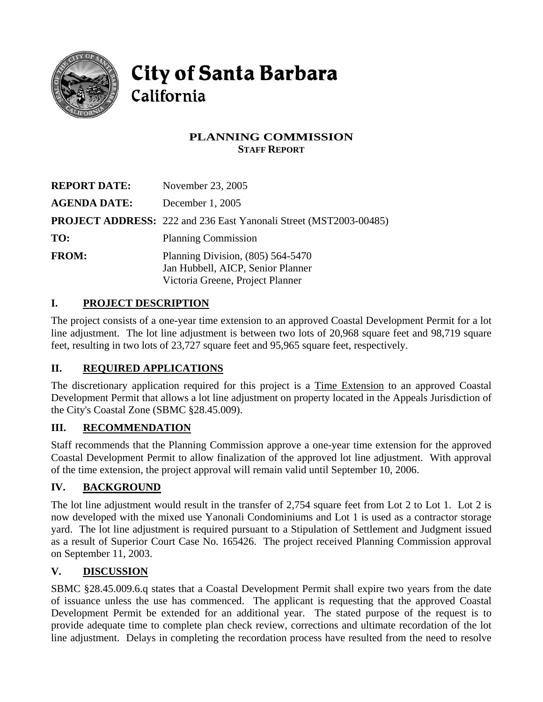

# **City of Santa Barbara** California

# **PLANNING COMMISSION STAFF REPORT**

| <b>REPORT DATE:</b> | November 23, 2005                                                                                            |
|---------------------|--------------------------------------------------------------------------------------------------------------|
| <b>AGENDA DATE:</b> | December 1, 2005                                                                                             |
|                     | <b>PROJECT ADDRESS:</b> 222 and 236 East Yanonali Street (MST2003-00485)                                     |
| TO:                 | <b>Planning Commission</b>                                                                                   |
| <b>FROM:</b>        | Planning Division, $(805)$ 564-5470<br>Jan Hubbell, AICP, Senior Planner<br>Victoria Greene, Project Planner |

# **I. PROJECT DESCRIPTION**

The project consists of a one-year time extension to an approved Coastal Development Permit for a lot line adjustment. The lot line adjustment is between two lots of 20,968 square feet and 98,719 square feet, resulting in two lots of 23,727 square feet and 95,965 square feet, respectively.

### **II. REQUIRED APPLICATIONS**

The discretionary application required for this project is a Time Extension to an approved Coastal Development Permit that allows a lot line adjustment on property located in the Appeals Jurisdiction of the City's Coastal Zone (SBMC §28.45.009).

### **III. RECOMMENDATION**

Staff recommends that the Planning Commission approve a one-year time extension for the approved Coastal Development Permit to allow finalization of the approved lot line adjustment. With approval of the time extension, the project approval will remain valid until September 10, 2006.

### **IV. BACKGROUND**

The lot line adjustment would result in the transfer of 2,754 square feet from Lot 2 to Lot 1. Lot 2 is now developed with the mixed use Yanonali Condominiums and Lot 1 is used as a contractor storage yard. The lot line adjustment is required pursuant to a Stipulation of Settlement and Judgment issued as a result of Superior Court Case No. 165426. The project received Planning Commission approval on September 11, 2003.

### **V. DISCUSSION**

SBMC §28.45.009.6.q states that a Coastal Development Permit shall expire two years from the date of issuance unless the use has commenced. The applicant is requesting that the approved Coastal Development Permit be extended for an additional year. The stated purpose of the request is to provide adequate time to complete plan check review, corrections and ultimate recordation of the lot line adjustment. Delays in completing the recordation process have resulted from the need to resolve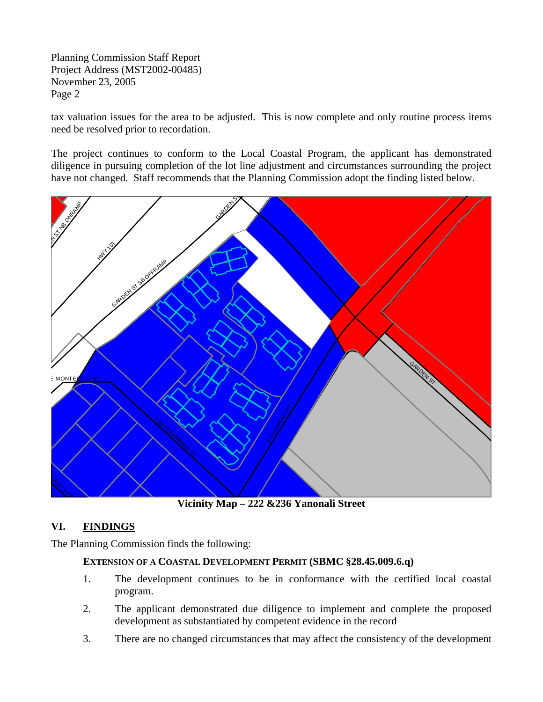Planning Commission Staff Report Project Address (MST2002-00485) November 23, 2005 Page 2

tax valuation issues for the area to be adjusted. This is now complete and only routine process items need be resolved prior to recordation.

The project continues to conform to the Local Coastal Program, the applicant has demonstrated diligence in pursuing completion of the lot line adjustment and circumstances surrounding the project have not changed. Staff recommends that the Planning Commission adopt the finding listed below.



**Vicinity Map – 222 &236 Yanonali Street** 

### **VI. FINDINGS**

The Planning Commission finds the following:

#### **EXTENSION OF A COASTAL DEVELOPMENT PERMIT (SBMC §28.45.009.6.q)**

- 1. The development continues to be in conformance with the certified local coastal program.
- 2. The applicant demonstrated due diligence to implement and complete the proposed development as substantiated by competent evidence in the record
- 3. There are no changed circumstances that may affect the consistency of the development